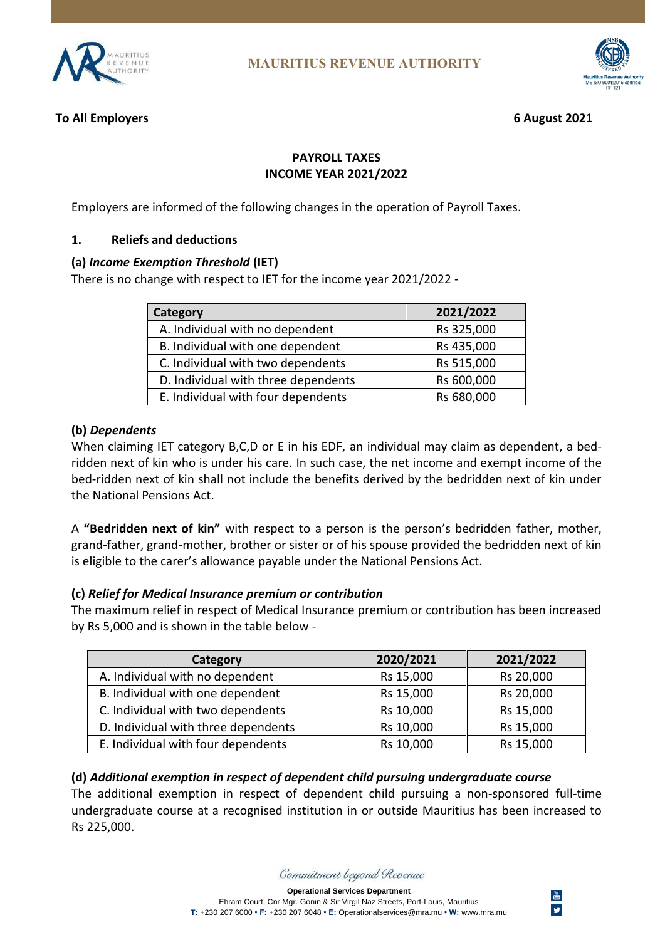



### **To All Employers 6 August 2021**

### **PAYROLL TAXES INCOME YEAR 2021/2022**

Employers are informed of the following changes in the operation of Payroll Taxes.

### **1. Reliefs and deductions**

#### **(a)** *Income Exemption Threshold* **(IET)**

There is no change with respect to IET for the income year 2021/2022 -

| Category                            | 2021/2022  |
|-------------------------------------|------------|
| A. Individual with no dependent     | Rs 325,000 |
| B. Individual with one dependent    | Rs 435,000 |
| C. Individual with two dependents   | Rs 515,000 |
| D. Individual with three dependents | Rs 600,000 |
| E. Individual with four dependents  | Rs 680,000 |

#### **(b)** *Dependents*

When claiming IET category B,C,D or E in his EDF, an individual may claim as dependent, a bedridden next of kin who is under his care. In such case, the net income and exempt income of the bed-ridden next of kin shall not include the benefits derived by the bedridden next of kin under the National Pensions Act.

A **"Bedridden next of kin"** with respect to a person is the person's bedridden father, mother, grand-father, grand-mother, brother or sister or of his spouse provided the bedridden next of kin is eligible to the carer's allowance payable under the National Pensions Act.

#### **(c)** *Relief for Medical Insurance premium or contribution*

The maximum relief in respect of Medical Insurance premium or contribution has been increased by Rs 5,000 and is shown in the table below -

| Category                            | 2020/2021 | 2021/2022 |
|-------------------------------------|-----------|-----------|
| A. Individual with no dependent     | Rs 15,000 | Rs 20,000 |
| B. Individual with one dependent    | Rs 15,000 | Rs 20,000 |
| C. Individual with two dependents   | Rs 10,000 | Rs 15,000 |
| D. Individual with three dependents | Rs 10,000 | Rs 15,000 |
| E. Individual with four dependents  | Rs 10,000 | Rs 15,000 |

# **(d)** *Additional exemption in respect of dependent child pursuing undergraduate course*

The additional exemption in respect of dependent child pursuing a non-sponsored full-time undergraduate course at a recognised institution in or outside Mauritius has been increased to Rs 225,000.

Commitment beyond Revenue

**Operational Services Department**

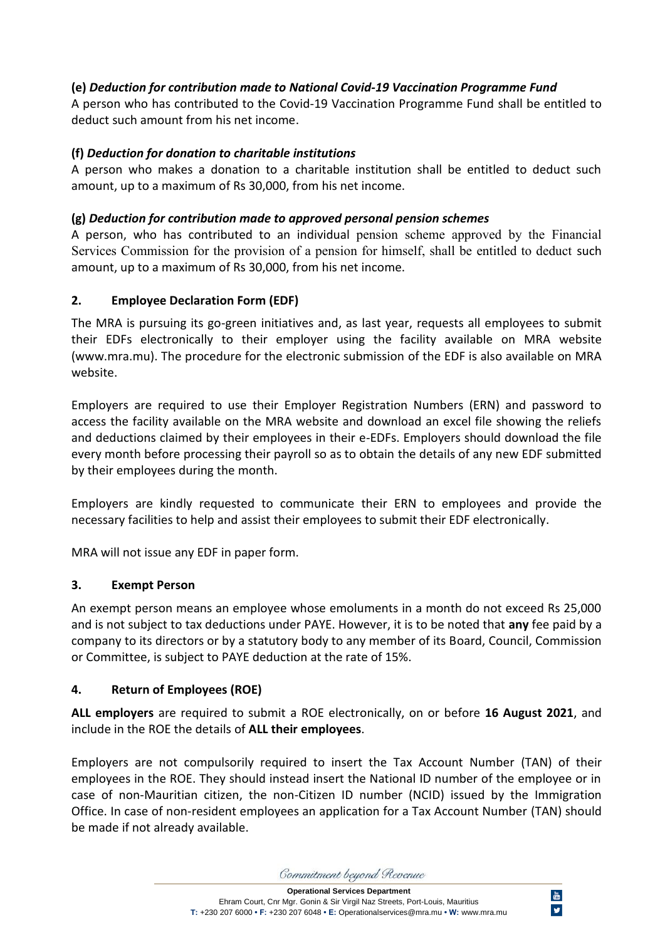# **(e)** *Deduction for contribution made to National Covid-19 Vaccination Programme Fund*

A person who has contributed to the Covid-19 Vaccination Programme Fund shall be entitled to deduct such amount from his net income.

# **(f)** *Deduction for donation to charitable institutions*

A person who makes a donation to a charitable institution shall be entitled to deduct such amount, up to a maximum of Rs 30,000, from his net income.

# **(g)** *Deduction for contribution made to approved personal pension schemes*

A person, who has contributed to an individual pension scheme approved by the Financial Services Commission for the provision of a pension for himself, shall be entitled to deduct such amount, up to a maximum of Rs 30,000, from his net income.

# **2. Employee Declaration Form (EDF)**

The MRA is pursuing its go-green initiatives and, as last year, requests all employees to submit their EDFs electronically to their employer using the facility available on MRA website (www.mra.mu). The procedure for the electronic submission of the EDF is also available on MRA website.

Employers are required to use their Employer Registration Numbers (ERN) and password to access the facility available on the MRA website and download an excel file showing the reliefs and deductions claimed by their employees in their e-EDFs. Employers should download the file every month before processing their payroll so as to obtain the details of any new EDF submitted by their employees during the month.

Employers are kindly requested to communicate their ERN to employees and provide the necessary facilities to help and assist their employees to submit their EDF electronically.

MRA will not issue any EDF in paper form.

# **3. Exempt Person**

An exempt person means an employee whose emoluments in a month do not exceed Rs 25,000 and is not subject to tax deductions under PAYE. However, it is to be noted that **any** fee paid by a company to its directors or by a statutory body to any member of its Board, Council, Commission or Committee, is subject to PAYE deduction at the rate of 15%.

# **4. Return of Employees (ROE)**

**ALL employers** are required to submit a ROE electronically, on or before **16 August 2021**, and include in the ROE the details of **ALL their employees**.

Employers are not compulsorily required to insert the Tax Account Number (TAN) of their employees in the ROE. They should instead insert the National ID number of the employee or in case of non-Mauritian citizen, the non-Citizen ID number (NCID) issued by the Immigration Office. In case of non-resident employees an application for a Tax Account Number (TAN) should be made if not already available.

Commitment beyond Revenue